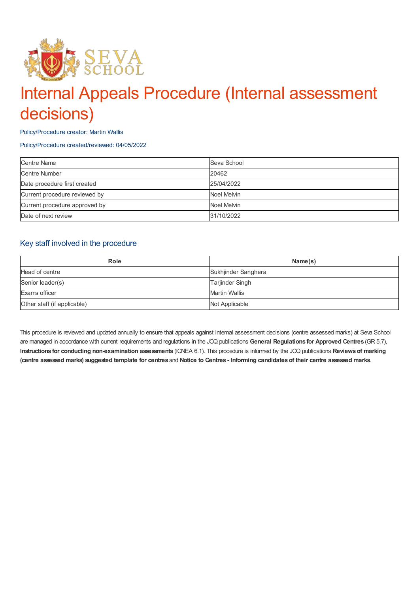

# Internal Appeals Procedure (Internal assessment decisions)

Policy/Procedure creator: Martin Wallis

Policy/Procedure created/reviewed: 04/05/2022

| <b>Centre Name</b>            | Seva School |
|-------------------------------|-------------|
| <b>Centre Number</b>          | 20462       |
| Date procedure first created  | 25/04/2022  |
| Current procedure reviewed by | Noel Melvin |
| Current procedure approved by | Noel Melvin |
| Date of next review           | 31/10/2022  |

#### Key staff involved in the procedure

| <b>Role</b>                 | Name(s)                |
|-----------------------------|------------------------|
| Head of centre              | Sukhjinder Sanghera    |
| Senior leader(s)            | <b>Tarjinder Singh</b> |
| Exams officer               | Martin Wallis          |
| Other staff (if applicable) | Not Applicable         |

This procedure is reviewed and updated annually to ensure that appeals against internal assessment decisions (centre assessed marks) at Seva School are managed in accordance with current requirements and regulations in the JCQ publications **General Regulations for Approved Centres** (GR 5.7), **Instructions for conducting non-examination assessments** (ICNEA 6.1). This procedure is informed by the JCQ publications **Reviewsof marking** (centre assessed marks) suggested template for centres and Notice to Centres - Informing candidates of their centre assessed marks.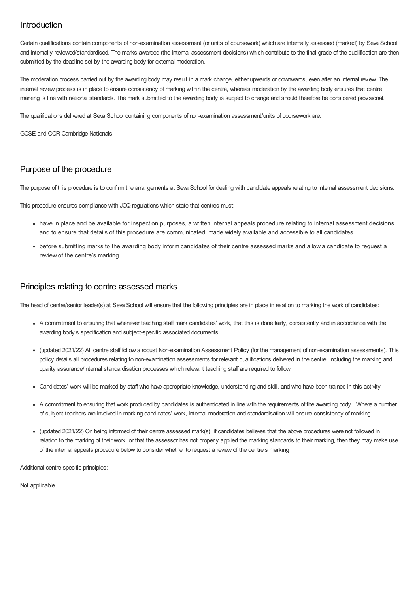## Introduction

Certain qualifications contain components of non-examination assessment (or units of coursework) which are internally assessed (marked) by Seva School and internally reviewed/standardised. The marks awarded (the internal assessment decisions) which contribute to the final grade of the qualification are then submitted by the deadline set by the awarding body for external moderation.

The moderation process carried out by the awarding body may result in a mark change, either upwards or downwards, even after an internal review. The internal review process is in place to ensure consistency of marking within the centre, whereas moderation by the awarding body ensures that centre marking is line with national standards. The mark submitted to the awarding body is subject to change and should therefore be considered provisional.

The qualifications delivered at Seva School containing components of non-examination assessment/units of coursework are:

GCSE and OCR Cambridge Nationals.

## Purpose of the procedure

The purpose of this procedure is to confirm the arrangements at Seva School for dealing with candidate appeals relating to internal assessment decisions.

This procedure ensures compliance with JCQ regulations which state that centres must:

- have in place and be available for inspection purposes, a written internal appeals procedure relating to internal assessment decisions and to ensure that details of this procedure are communicated, made widely available and accessible to all candidates
- before submitting marks to the awarding body inform candidates of their centre assessed marks and allow a candidate to request a review of the centre's marking

#### Principles relating to centre assessed marks

The head of centre/senior leader(s) at Seva School will ensure that the following principles are in place in relation to marking the work of candidates:

- A commitment to ensuring that whenever teaching staff mark candidates' work, that this is done fairly, consistently and in accordance with the awarding body's specification and subject-specific associated documents
- (updated 2021/22) All centre staff follow a robust Non-examination Assessment Policy (for the management of non-examination assessments). This policy details all procedures relating to non-examination assessments for relevant qualifications delivered in the centre, including the marking and quality assurance/internal standardisation processes which relevant teaching staff are required to follow
- Candidates' work will be marked by staff who have appropriate knowledge, understanding and skill, and who have been trained in this activity
- A commitment to ensuring that work produced by candidates is authenticated in line with the requirements of the awarding body. Where a number of subject teachers are involved in marking candidates' work, internal moderation and standardisation will ensure consistency of marking
- (updated 2021/22) On being informed of their centre assessed mark(s), if candidates believes that the above procedures were not followed in relation to the marking of their work, or that the assessor has not properly applied the marking standards to their marking, then they may make use of the internal appeals procedure below to consider whether to request a review of the centre's marking

Additional centre-specific principles:

Not applicable